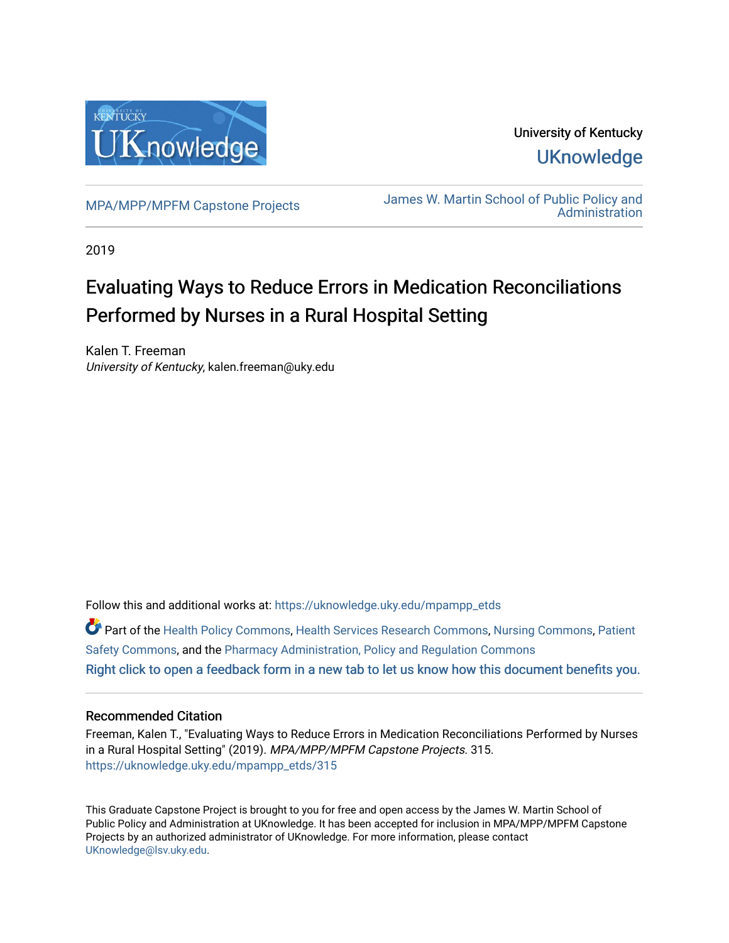

University of Kentucky **UKnowledge** 

[MPA/MPP/MPFM Capstone Projects](https://uknowledge.uky.edu/mpampp_etds) James W. Martin School of Public Policy and [Administration](https://uknowledge.uky.edu/msppa) 

2019

# Evaluating Ways to Reduce Errors in Medication Reconciliations Performed by Nurses in a Rural Hospital Setting

Kalen T. Freeman University of Kentucky, kalen.freeman@uky.edu

Follow this and additional works at: [https://uknowledge.uky.edu/mpampp\\_etds](https://uknowledge.uky.edu/mpampp_etds?utm_source=uknowledge.uky.edu%2Fmpampp_etds%2F315&utm_medium=PDF&utm_campaign=PDFCoverPages)

Part of the [Health Policy Commons](http://network.bepress.com/hgg/discipline/395?utm_source=uknowledge.uky.edu%2Fmpampp_etds%2F315&utm_medium=PDF&utm_campaign=PDFCoverPages), [Health Services Research Commons](http://network.bepress.com/hgg/discipline/816?utm_source=uknowledge.uky.edu%2Fmpampp_etds%2F315&utm_medium=PDF&utm_campaign=PDFCoverPages), [Nursing Commons](http://network.bepress.com/hgg/discipline/718?utm_source=uknowledge.uky.edu%2Fmpampp_etds%2F315&utm_medium=PDF&utm_campaign=PDFCoverPages), Patient [Safety Commons,](http://network.bepress.com/hgg/discipline/1410?utm_source=uknowledge.uky.edu%2Fmpampp_etds%2F315&utm_medium=PDF&utm_campaign=PDFCoverPages) and the [Pharmacy Administration, Policy and Regulation Commons](http://network.bepress.com/hgg/discipline/732?utm_source=uknowledge.uky.edu%2Fmpampp_etds%2F315&utm_medium=PDF&utm_campaign=PDFCoverPages)  [Right click to open a feedback form in a new tab to let us know how this document benefits you.](https://uky.az1.qualtrics.com/jfe/form/SV_9mq8fx2GnONRfz7)

### Recommended Citation

Freeman, Kalen T., "Evaluating Ways to Reduce Errors in Medication Reconciliations Performed by Nurses in a Rural Hospital Setting" (2019). MPA/MPP/MPFM Capstone Projects. 315. [https://uknowledge.uky.edu/mpampp\\_etds/315](https://uknowledge.uky.edu/mpampp_etds/315?utm_source=uknowledge.uky.edu%2Fmpampp_etds%2F315&utm_medium=PDF&utm_campaign=PDFCoverPages)

This Graduate Capstone Project is brought to you for free and open access by the James W. Martin School of Public Policy and Administration at UKnowledge. It has been accepted for inclusion in MPA/MPP/MPFM Capstone Projects by an authorized administrator of UKnowledge. For more information, please contact [UKnowledge@lsv.uky.edu.](mailto:UKnowledge@lsv.uky.edu)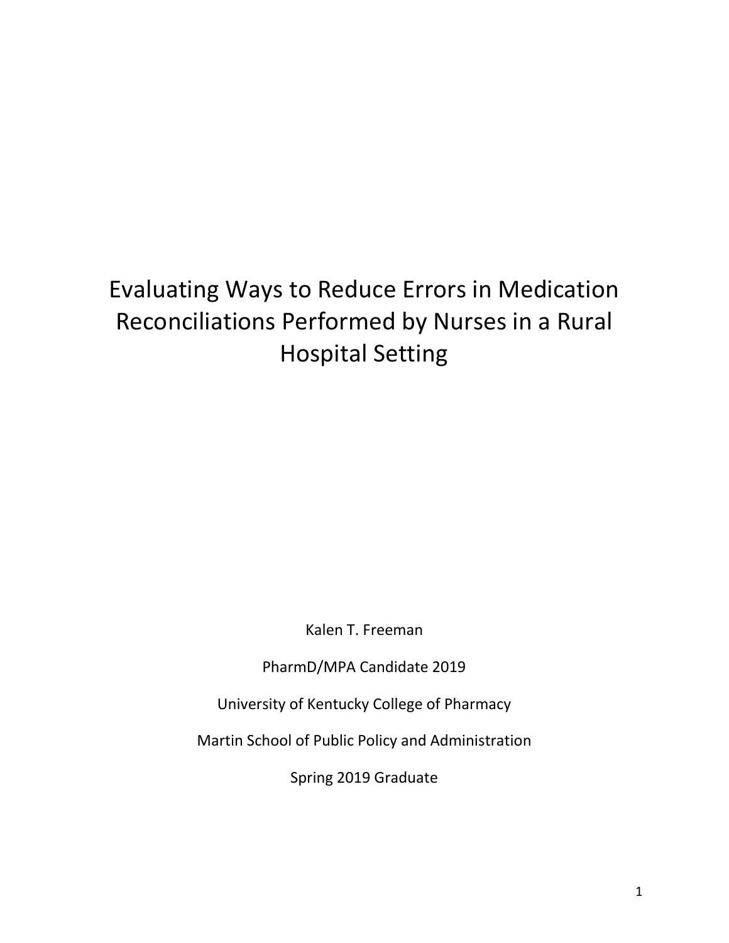# Evaluating Ways to Reduce Errors in Medication Reconciliations Performed by Nurses in a Rural Hospital Setting

Kalen T. Freeman

PharmD/MPA Candidate 2019

University of Kentucky College of Pharmacy

Martin School of Public Policy and Administration

Spring 2019 Graduate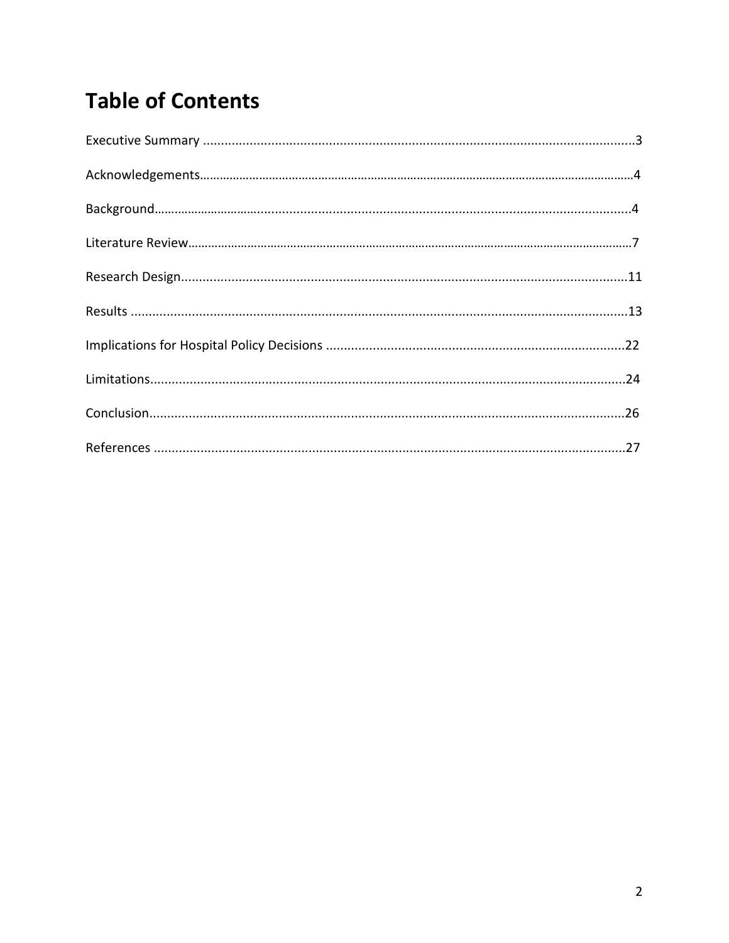# **Table of Contents**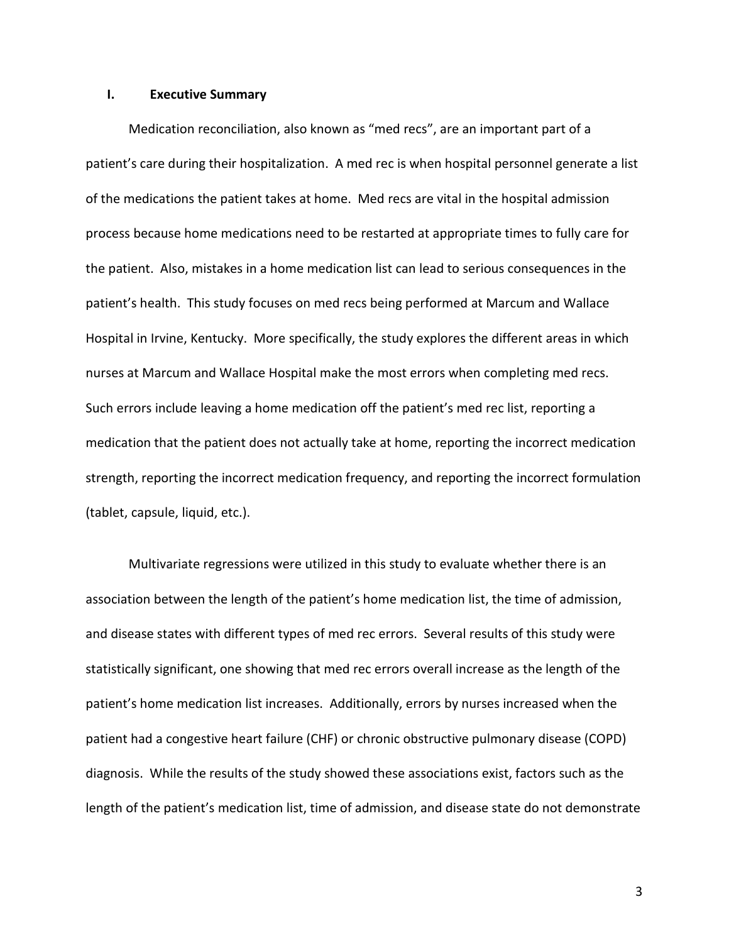#### **I. Executive Summary**

Medication reconciliation, also known as "med recs", are an important part of a patient's care during their hospitalization. A med rec is when hospital personnel generate a list of the medications the patient takes at home. Med recs are vital in the hospital admission process because home medications need to be restarted at appropriate times to fully care for the patient. Also, mistakes in a home medication list can lead to serious consequences in the patient's health. This study focuses on med recs being performed at Marcum and Wallace Hospital in Irvine, Kentucky. More specifically, the study explores the different areas in which nurses at Marcum and Wallace Hospital make the most errors when completing med recs. Such errors include leaving a home medication off the patient's med rec list, reporting a medication that the patient does not actually take at home, reporting the incorrect medication strength, reporting the incorrect medication frequency, and reporting the incorrect formulation (tablet, capsule, liquid, etc.).

Multivariate regressions were utilized in this study to evaluate whether there is an association between the length of the patient's home medication list, the time of admission, and disease states with different types of med rec errors. Several results of this study were statistically significant, one showing that med rec errors overall increase as the length of the patient's home medication list increases. Additionally, errors by nurses increased when the patient had a congestive heart failure (CHF) or chronic obstructive pulmonary disease (COPD) diagnosis. While the results of the study showed these associations exist, factors such as the length of the patient's medication list, time of admission, and disease state do not demonstrate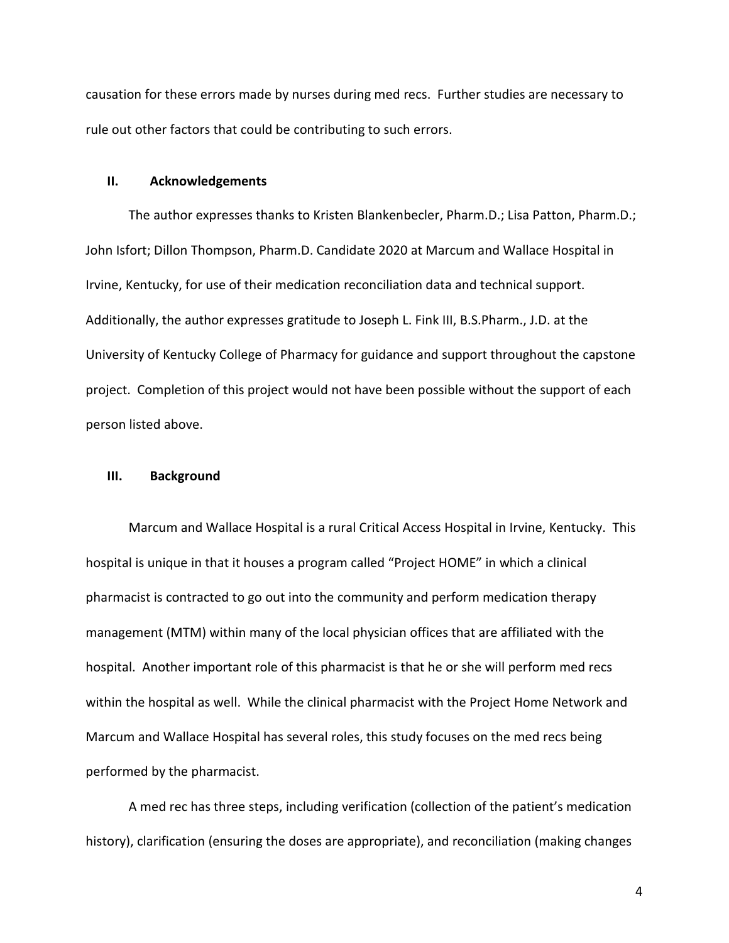causation for these errors made by nurses during med recs. Further studies are necessary to rule out other factors that could be contributing to such errors.

#### **II. Acknowledgements**

The author expresses thanks to Kristen Blankenbecler, Pharm.D.; Lisa Patton, Pharm.D.; John Isfort; Dillon Thompson, Pharm.D. Candidate 2020 at Marcum and Wallace Hospital in Irvine, Kentucky, for use of their medication reconciliation data and technical support. Additionally, the author expresses gratitude to Joseph L. Fink III, B.S.Pharm., J.D. at the University of Kentucky College of Pharmacy for guidance and support throughout the capstone project. Completion of this project would not have been possible without the support of each person listed above.

#### **III. Background**

Marcum and Wallace Hospital is a rural Critical Access Hospital in Irvine, Kentucky. This hospital is unique in that it houses a program called "Project HOME" in which a clinical pharmacist is contracted to go out into the community and perform medication therapy management (MTM) within many of the local physician offices that are affiliated with the hospital. Another important role of this pharmacist is that he or she will perform med recs within the hospital as well. While the clinical pharmacist with the Project Home Network and Marcum and Wallace Hospital has several roles, this study focuses on the med recs being performed by the pharmacist.

A med rec has three steps, including verification (collection of the patient's medication history), clarification (ensuring the doses are appropriate), and reconciliation (making changes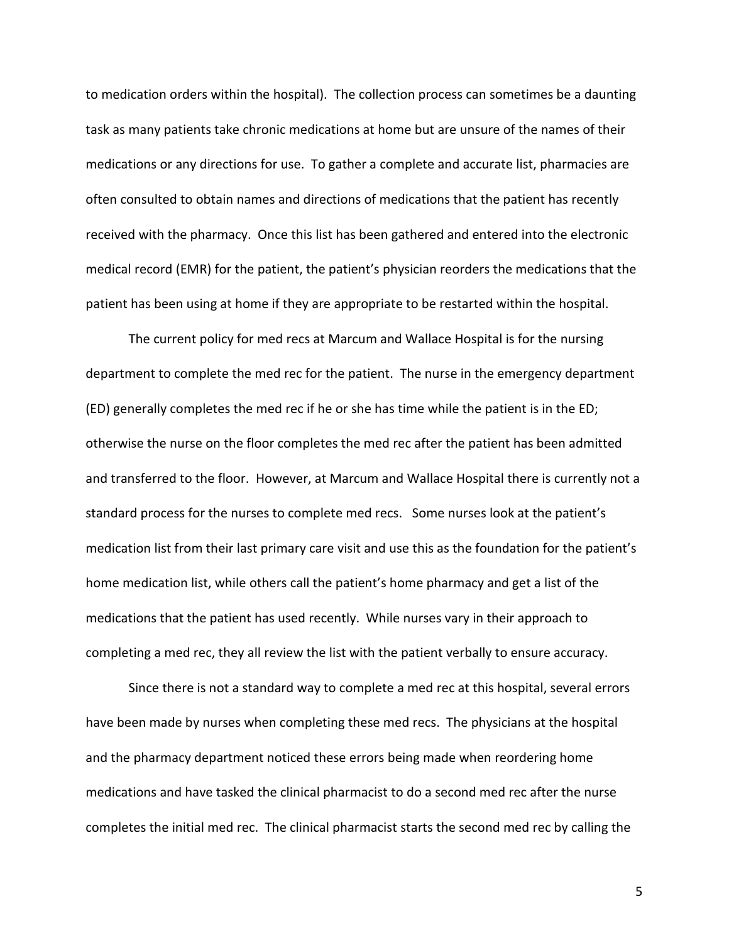to medication orders within the hospital). The collection process can sometimes be a daunting task as many patients take chronic medications at home but are unsure of the names of their medications or any directions for use. To gather a complete and accurate list, pharmacies are often consulted to obtain names and directions of medications that the patient has recently received with the pharmacy. Once this list has been gathered and entered into the electronic medical record (EMR) for the patient, the patient's physician reorders the medications that the patient has been using at home if they are appropriate to be restarted within the hospital.

The current policy for med recs at Marcum and Wallace Hospital is for the nursing department to complete the med rec for the patient. The nurse in the emergency department (ED) generally completes the med rec if he or she has time while the patient is in the ED; otherwise the nurse on the floor completes the med rec after the patient has been admitted and transferred to the floor. However, at Marcum and Wallace Hospital there is currently not a standard process for the nurses to complete med recs. Some nurses look at the patient's medication list from their last primary care visit and use this as the foundation for the patient's home medication list, while others call the patient's home pharmacy and get a list of the medications that the patient has used recently. While nurses vary in their approach to completing a med rec, they all review the list with the patient verbally to ensure accuracy.

Since there is not a standard way to complete a med rec at this hospital, several errors have been made by nurses when completing these med recs. The physicians at the hospital and the pharmacy department noticed these errors being made when reordering home medications and have tasked the clinical pharmacist to do a second med rec after the nurse completes the initial med rec. The clinical pharmacist starts the second med rec by calling the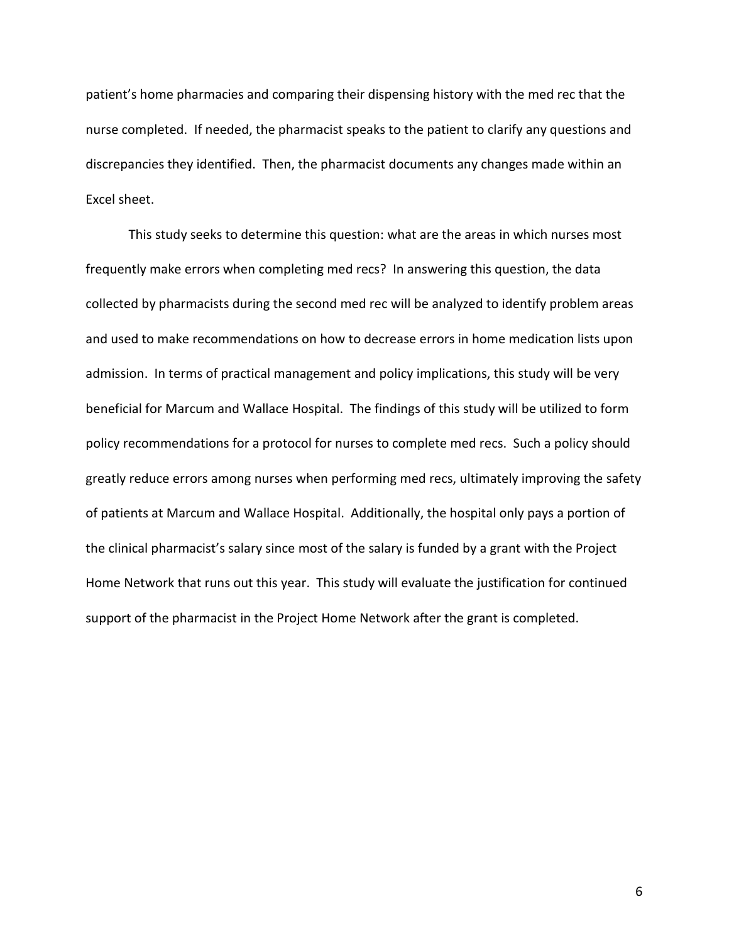patient's home pharmacies and comparing their dispensing history with the med rec that the nurse completed. If needed, the pharmacist speaks to the patient to clarify any questions and discrepancies they identified. Then, the pharmacist documents any changes made within an Excel sheet.

This study seeks to determine this question: what are the areas in which nurses most frequently make errors when completing med recs? In answering this question, the data collected by pharmacists during the second med rec will be analyzed to identify problem areas and used to make recommendations on how to decrease errors in home medication lists upon admission. In terms of practical management and policy implications, this study will be very beneficial for Marcum and Wallace Hospital. The findings of this study will be utilized to form policy recommendations for a protocol for nurses to complete med recs. Such a policy should greatly reduce errors among nurses when performing med recs, ultimately improving the safety of patients at Marcum and Wallace Hospital. Additionally, the hospital only pays a portion of the clinical pharmacist's salary since most of the salary is funded by a grant with the Project Home Network that runs out this year. This study will evaluate the justification for continued support of the pharmacist in the Project Home Network after the grant is completed.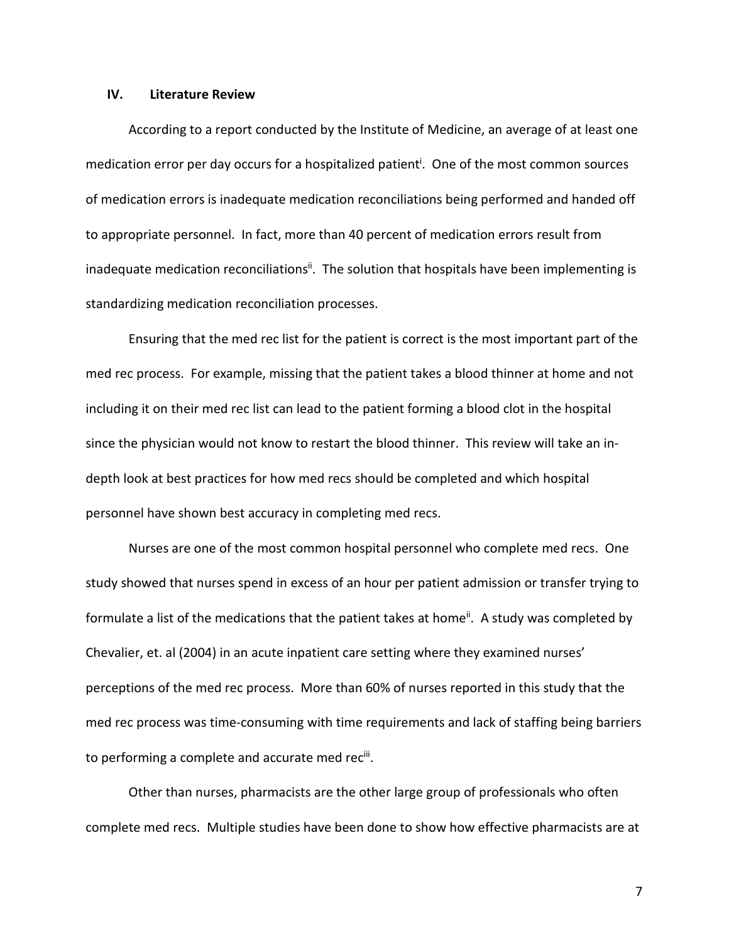#### **IV. Literature Review**

According to a report conducted by the Institute of Medicine, an average of at least one medication error per day occurs for a hospitalized patient<sup>i</sup>. One of the most common sources of medication errors is inadequate medication reconciliations being performed and handed off to appropriate personnel. In fact, more than 40 percent of medication errors result from inadequate medication reconciliations<sup>ii</sup>. The solution that hospitals have been implementing is standardizing medication reconciliation processes.

Ensuring that the med rec list for the patient is correct is the most important part of the med rec process. For example, missing that the patient takes a blood thinner at home and not including it on their med rec list can lead to the patient forming a blood clot in the hospital since the physician would not know to restart the blood thinner. This review will take an indepth look at best practices for how med recs should be completed and which hospital personnel have shown best accuracy in completing med recs.

Nurses are one of the most common hospital personnel who complete med recs. One study showed that nurses spend in excess of an hour per patient admission or transfer trying to formulate a list of the medications that the patient takes at home<sup>ii</sup>. A study was completed by Chevalier, et. al (2004) in an acute inpatient care setting where they examined nurses' perceptions of the med rec process. More than 60% of nurses reported in this study that the med rec process was time-consuming with time requirements and lack of staffing being barriers to performing a complete and accurate med rec<sup>iii</sup>.

Other than nurses, pharmacists are the other large group of professionals who often complete med recs. Multiple studies have been done to show how effective pharmacists are at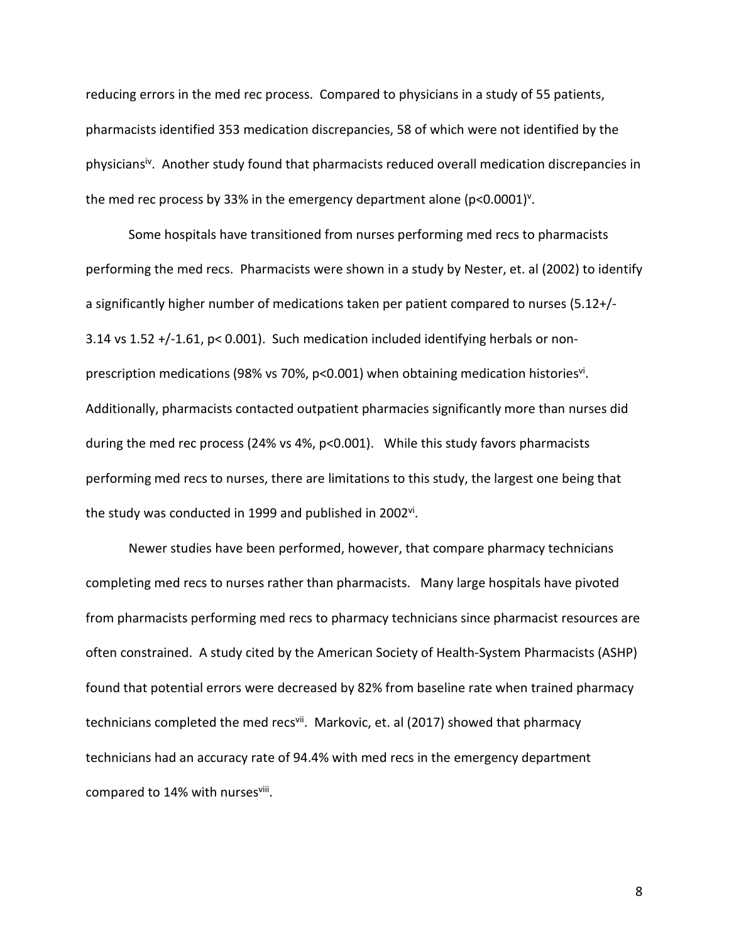reducing errors in the med rec process. Compared to physicians in a study of 55 patients, pharmacists identified 353 medication discrepancies, 58 of which were not identified by the physicians<sup>iv</sup>. Another study found that pharmacists reduced overall medication discrepancies in the med rec process by 33% in the emergency department alone ( $p$ <0.0001)<sup>v</sup>.

Some hospitals have transitioned from nurses performing med recs to pharmacists performing the med recs. Pharmacists were shown in a study by Nester, et. al (2002) to identify a significantly higher number of medications taken per patient compared to nurses (5.12+/- 3.14 vs 1.52 +/-1.61, p< 0.001). Such medication included identifying herbals or nonprescription medications (98% vs 70%, p<0.001) when obtaining medication histories<sup>vi</sup>. Additionally, pharmacists contacted outpatient pharmacies significantly more than nurses did during the med rec process (24% vs 4%, p<0.001). While this study favors pharmacists performing med recs to nurses, there are limitations to this study, the largest one being that the study was conducted in 1999 and published in 2002<sup>vi</sup>.

Newer studies have been performed, however, that compare pharmacy technicians completing med recs to nurses rather than pharmacists. Many large hospitals have pivoted from pharmacists performing med recs to pharmacy technicians since pharmacist resources are often constrained. A study cited by the American Society of Health-System Pharmacists (ASHP) found that potential errors were decreased by 82% from baseline rate when trained pharmacy technicians completed the med recs<sup>vii</sup>. Markovic, et. al (2017) showed that pharmacy technicians had an accuracy rate of 94.4% with med recs in the emergency department compared to 14% with nursesviii.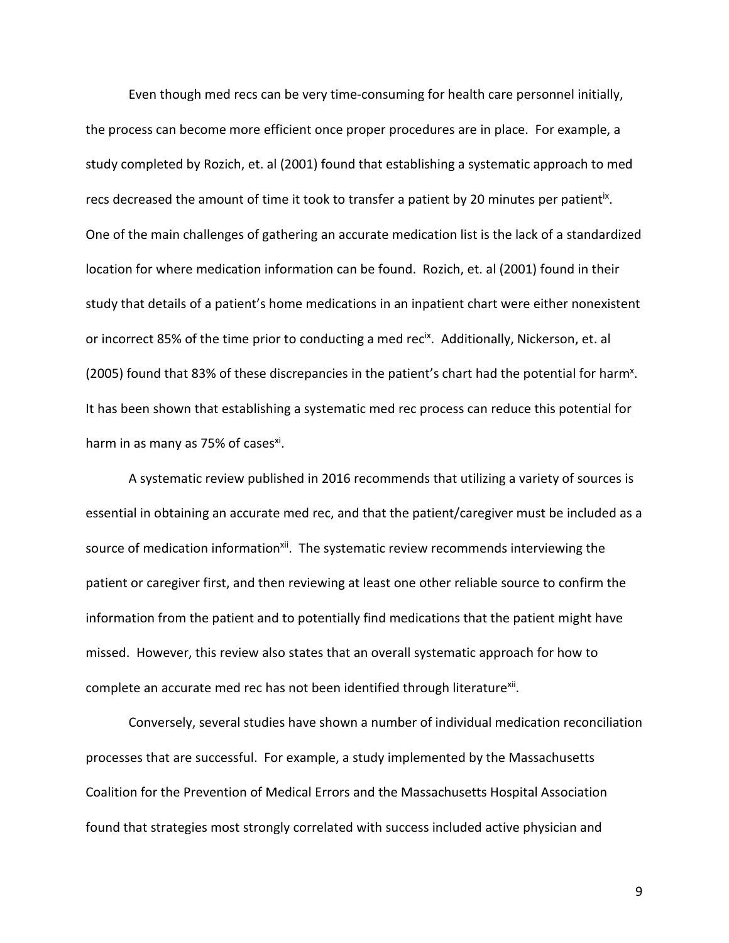Even though med recs can be very time-consuming for health care personnel initially, the process can become more efficient once proper procedures are in place. For example, a study completed by Rozich, et. al (2001) found that establishing a systematic approach to med recs decreased the amount of time it took to transfer a patient by 20 minutes per patient<sup>ix</sup>. One of the main challenges of gathering an accurate medication list is the lack of a standardized location for where medication information can be found. Rozich, et. al (2001) found in their study that details of a patient's home medications in an inpatient chart were either nonexistent or incorrect 85% of the time prior to conducting a med rec<sup>ix</sup>. Additionally, Nickerson, et. al (2005) found that 83% of these discrepancies in the patient's chart had the potential for harm<sup>x</sup>. It has been shown that establishing a systematic med rec process can reduce this potential for harm in as many as 75% of cases $xi$ .

A systematic review published in 2016 recommends that utilizing a variety of sources is essential in obtaining an accurate med rec, and that the patient/caregiver must be included as a source of medication information<sup>xii</sup>. The systematic review recommends interviewing the patient or caregiver first, and then reviewing at least one other reliable source to confirm the information from the patient and to potentially find medications that the patient might have missed. However, this review also states that an overall systematic approach for how to complete an accurate med rec has not been identified through literature<sup>xii</sup>.

Conversely, several studies have shown a number of individual medication reconciliation processes that are successful. For example, a study implemented by the Massachusetts Coalition for the Prevention of Medical Errors and the Massachusetts Hospital Association found that strategies most strongly correlated with success included active physician and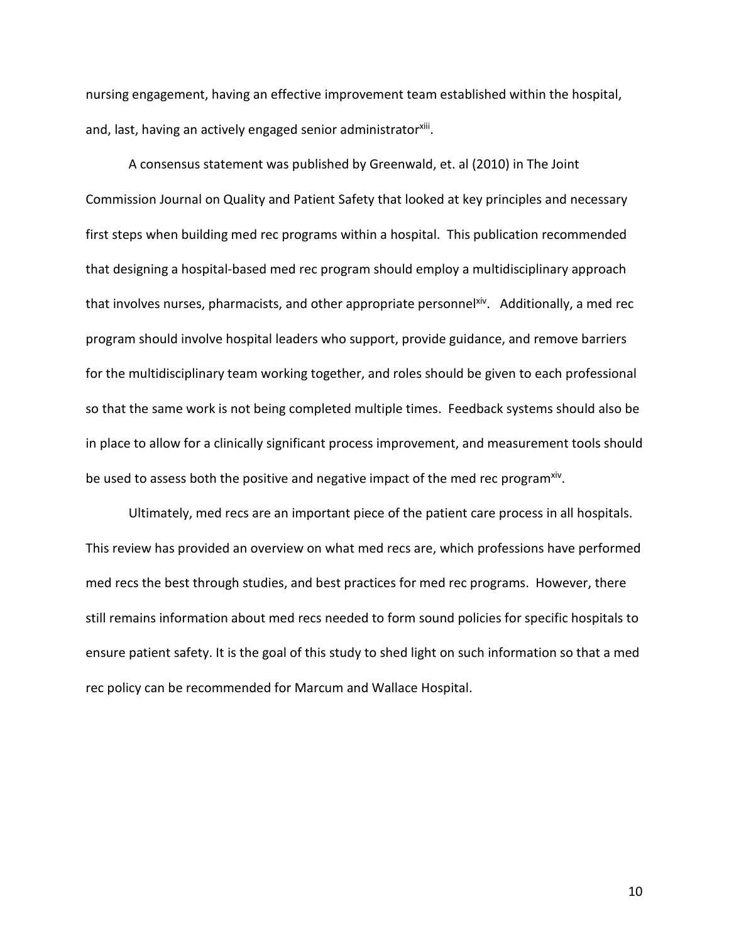nursing engagement, having an effective improvement team established within the hospital, and, last, having an actively engaged senior administratorxiii.

A consensus statement was published by Greenwald, et. al (2010) in The Joint Commission Journal on Quality and Patient Safety that looked at key principles and necessary first steps when building med rec programs within a hospital. This publication recommended that designing a hospital-based med rec program should employ a multidisciplinary approach that involves nurses, pharmacists, and other appropriate personnelxiv. Additionally, a med rec program should involve hospital leaders who support, provide guidance, and remove barriers for the multidisciplinary team working together, and roles should be given to each professional so that the same work is not being completed multiple times. Feedback systems should also be in place to allow for a clinically significant process improvement, and measurement tools should be used to assess both the positive and negative impact of the med rec program<sup>xiv</sup>.

Ultimately, med recs are an important piece of the patient care process in all hospitals. This review has provided an overview on what med recs are, which professions have performed med recs the best through studies, and best practices for med rec programs. However, there still remains information about med recs needed to form sound policies for specific hospitals to ensure patient safety. It is the goal of this study to shed light on such information so that a med rec policy can be recommended for Marcum and Wallace Hospital.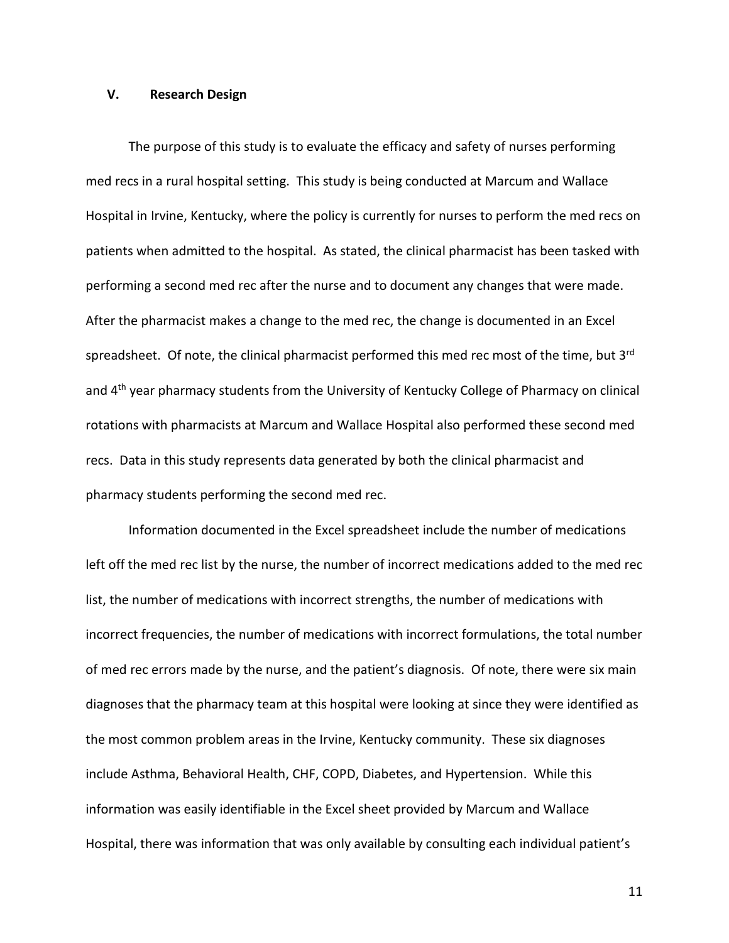### **V. Research Design**

The purpose of this study is to evaluate the efficacy and safety of nurses performing med recs in a rural hospital setting. This study is being conducted at Marcum and Wallace Hospital in Irvine, Kentucky, where the policy is currently for nurses to perform the med recs on patients when admitted to the hospital. As stated, the clinical pharmacist has been tasked with performing a second med rec after the nurse and to document any changes that were made. After the pharmacist makes a change to the med rec, the change is documented in an Excel spreadsheet. Of note, the clinical pharmacist performed this med rec most of the time, but 3<sup>rd</sup> and 4<sup>th</sup> year pharmacy students from the University of Kentucky College of Pharmacy on clinical rotations with pharmacists at Marcum and Wallace Hospital also performed these second med recs. Data in this study represents data generated by both the clinical pharmacist and pharmacy students performing the second med rec.

Information documented in the Excel spreadsheet include the number of medications left off the med rec list by the nurse, the number of incorrect medications added to the med rec list, the number of medications with incorrect strengths, the number of medications with incorrect frequencies, the number of medications with incorrect formulations, the total number of med rec errors made by the nurse, and the patient's diagnosis. Of note, there were six main diagnoses that the pharmacy team at this hospital were looking at since they were identified as the most common problem areas in the Irvine, Kentucky community. These six diagnoses include Asthma, Behavioral Health, CHF, COPD, Diabetes, and Hypertension. While this information was easily identifiable in the Excel sheet provided by Marcum and Wallace Hospital, there was information that was only available by consulting each individual patient's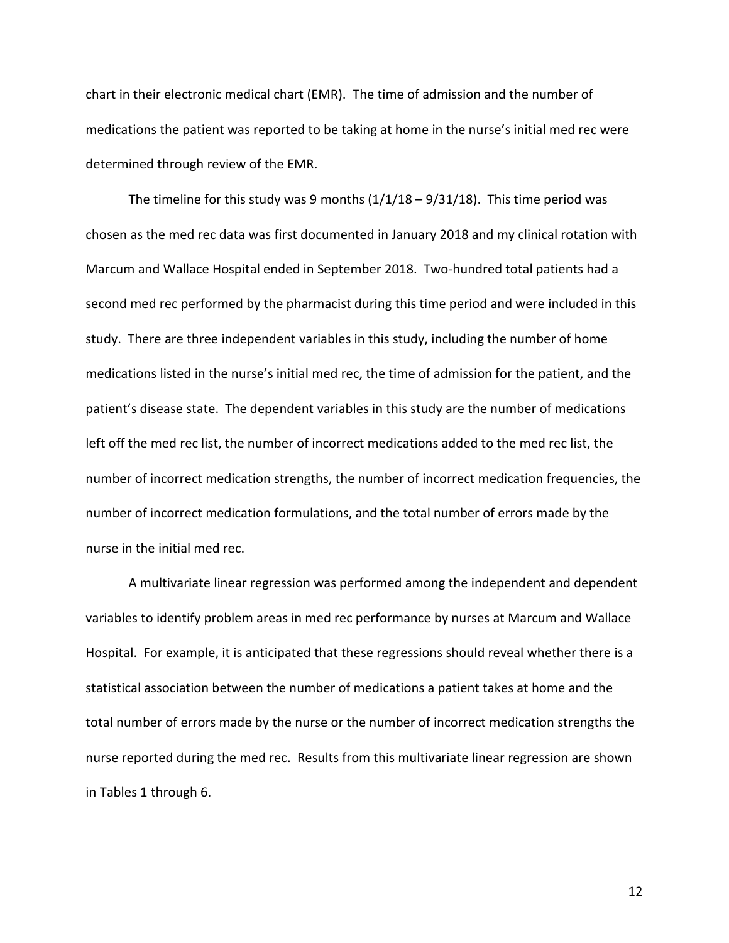chart in their electronic medical chart (EMR). The time of admission and the number of medications the patient was reported to be taking at home in the nurse's initial med rec were determined through review of the EMR.

The timeline for this study was 9 months  $(1/1/18 - 9/31/18)$ . This time period was chosen as the med rec data was first documented in January 2018 and my clinical rotation with Marcum and Wallace Hospital ended in September 2018. Two-hundred total patients had a second med rec performed by the pharmacist during this time period and were included in this study. There are three independent variables in this study, including the number of home medications listed in the nurse's initial med rec, the time of admission for the patient, and the patient's disease state. The dependent variables in this study are the number of medications left off the med rec list, the number of incorrect medications added to the med rec list, the number of incorrect medication strengths, the number of incorrect medication frequencies, the number of incorrect medication formulations, and the total number of errors made by the nurse in the initial med rec.

A multivariate linear regression was performed among the independent and dependent variables to identify problem areas in med rec performance by nurses at Marcum and Wallace Hospital. For example, it is anticipated that these regressions should reveal whether there is a statistical association between the number of medications a patient takes at home and the total number of errors made by the nurse or the number of incorrect medication strengths the nurse reported during the med rec. Results from this multivariate linear regression are shown in Tables 1 through 6.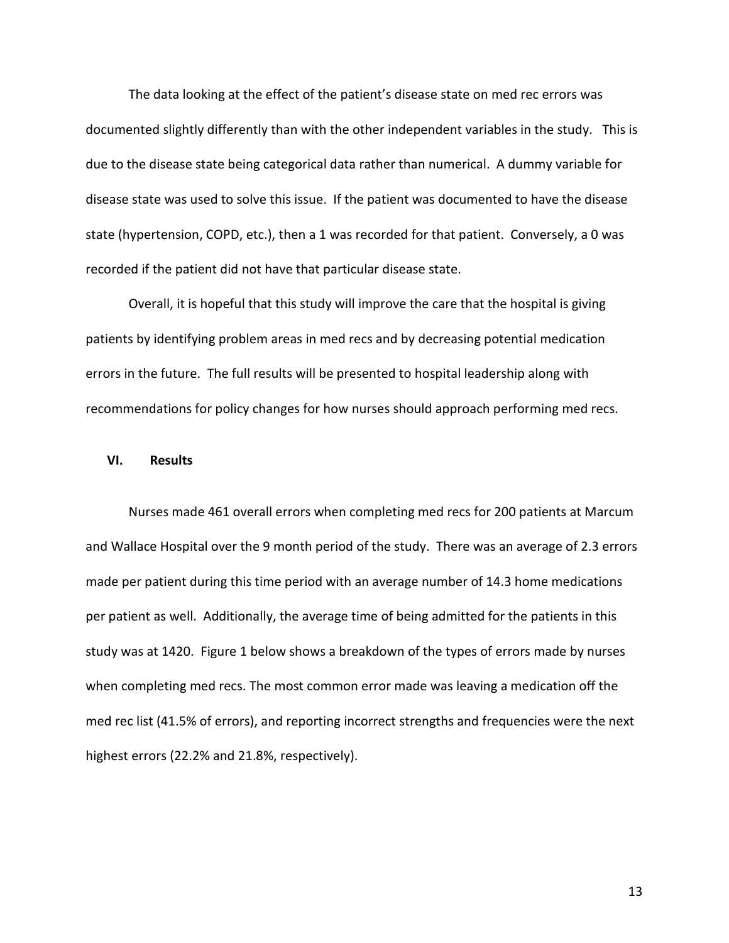The data looking at the effect of the patient's disease state on med rec errors was documented slightly differently than with the other independent variables in the study. This is due to the disease state being categorical data rather than numerical. A dummy variable for disease state was used to solve this issue. If the patient was documented to have the disease state (hypertension, COPD, etc.), then a 1 was recorded for that patient. Conversely, a 0 was recorded if the patient did not have that particular disease state.

Overall, it is hopeful that this study will improve the care that the hospital is giving patients by identifying problem areas in med recs and by decreasing potential medication errors in the future. The full results will be presented to hospital leadership along with recommendations for policy changes for how nurses should approach performing med recs.

#### **VI. Results**

Nurses made 461 overall errors when completing med recs for 200 patients at Marcum and Wallace Hospital over the 9 month period of the study. There was an average of 2.3 errors made per patient during this time period with an average number of 14.3 home medications per patient as well. Additionally, the average time of being admitted for the patients in this study was at 1420. Figure 1 below shows a breakdown of the types of errors made by nurses when completing med recs. The most common error made was leaving a medication off the med rec list (41.5% of errors), and reporting incorrect strengths and frequencies were the next highest errors (22.2% and 21.8%, respectively).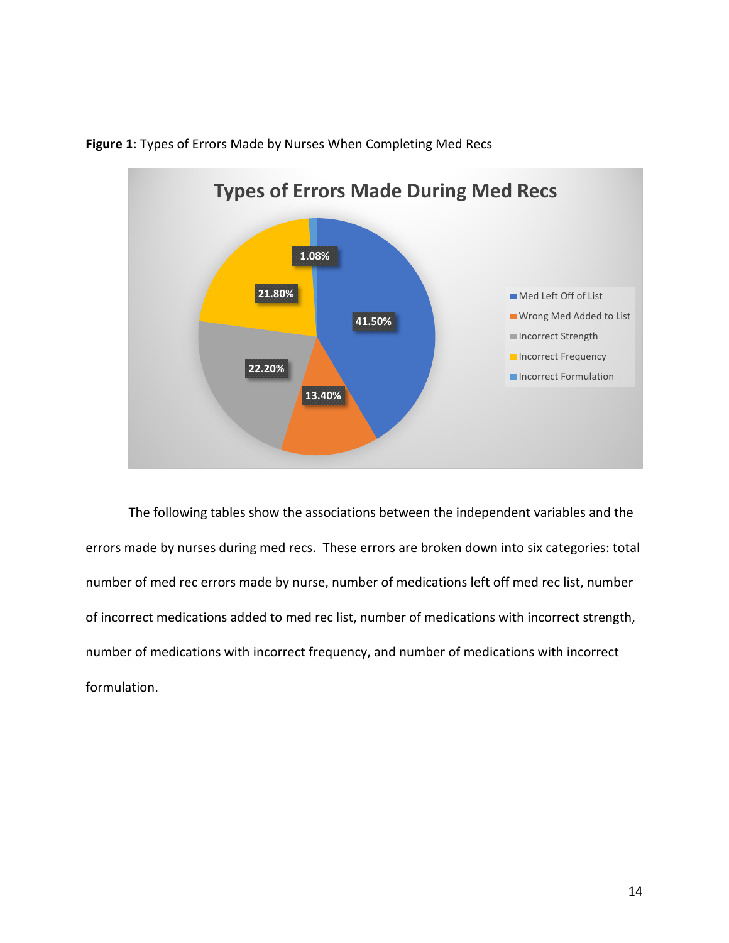

**Figure 1**: Types of Errors Made by Nurses When Completing Med Recs

The following tables show the associations between the independent variables and the errors made by nurses during med recs. These errors are broken down into six categories: total number of med rec errors made by nurse, number of medications left off med rec list, number of incorrect medications added to med rec list, number of medications with incorrect strength, number of medications with incorrect frequency, and number of medications with incorrect formulation.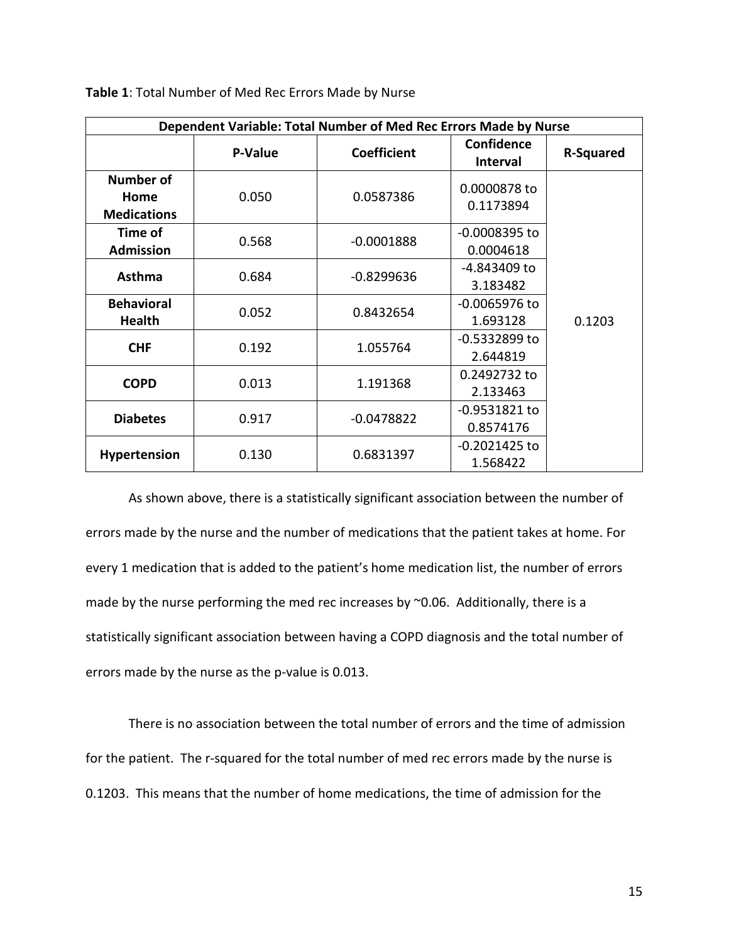| Dependent Variable: Total Number of Med Rec Errors Made by Nurse |         |                    |                                      |                  |
|------------------------------------------------------------------|---------|--------------------|--------------------------------------|------------------|
|                                                                  | P-Value | <b>Coefficient</b> | <b>Confidence</b><br><b>Interval</b> | <b>R-Squared</b> |
| <b>Number of</b><br>Home<br><b>Medications</b>                   | 0.050   | 0.0587386          | 0.0000878 to<br>0.1173894            |                  |
| Time of<br><b>Admission</b>                                      | 0.568   | $-0.0001888$       | -0.0008395 to<br>0.0004618           |                  |
| <b>Asthma</b>                                                    | 0.684   | $-0.8299636$       | -4.843409 to<br>3.183482             |                  |
| <b>Behavioral</b><br><b>Health</b>                               | 0.052   | 0.8432654          | $-0.0065976$ to<br>1.693128          | 0.1203           |
| <b>CHF</b>                                                       | 0.192   | 1.055764           | -0.5332899 to<br>2.644819            |                  |
| <b>COPD</b>                                                      | 0.013   | 1.191368           | 0.2492732 to<br>2.133463             |                  |
| <b>Diabetes</b>                                                  | 0.917   | $-0.0478822$       | $-0.9531821$ to<br>0.8574176         |                  |
| <b>Hypertension</b>                                              | 0.130   | 0.6831397          | $-0.2021425$ to<br>1.568422          |                  |

|  | Table 1: Total Number of Med Rec Errors Made by Nurse |
|--|-------------------------------------------------------|
|--|-------------------------------------------------------|

As shown above, there is a statistically significant association between the number of errors made by the nurse and the number of medications that the patient takes at home. For every 1 medication that is added to the patient's home medication list, the number of errors made by the nurse performing the med rec increases by ~0.06. Additionally, there is a statistically significant association between having a COPD diagnosis and the total number of errors made by the nurse as the p-value is 0.013.

There is no association between the total number of errors and the time of admission for the patient. The r-squared for the total number of med rec errors made by the nurse is 0.1203. This means that the number of home medications, the time of admission for the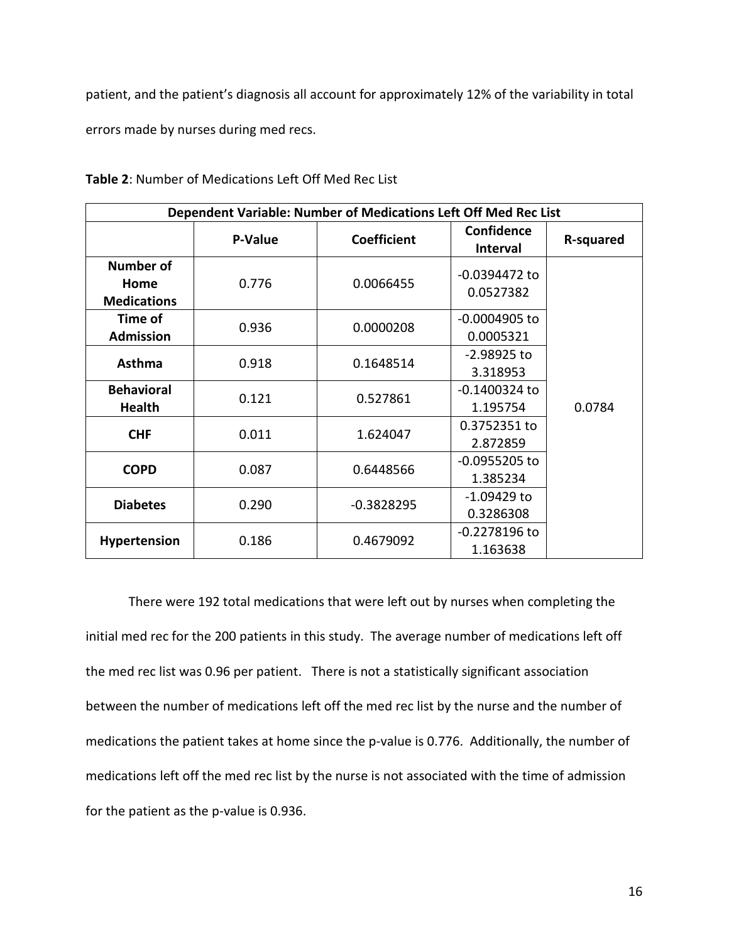patient, and the patient's diagnosis all account for approximately 12% of the variability in total errors made by nurses during med recs.

| Dependent Variable: Number of Medications Left Off Med Rec List |                |                    |                               |           |
|-----------------------------------------------------------------|----------------|--------------------|-------------------------------|-----------|
|                                                                 | <b>P-Value</b> | <b>Coefficient</b> | Confidence<br><b>Interval</b> | R-squared |
| <b>Number of</b><br>Home<br><b>Medications</b>                  | 0.776          | 0.0066455          | $-0.0394472$ to<br>0.0527382  |           |
| Time of<br><b>Admission</b>                                     | 0.936          | 0.0000208          | $-0.0004905$ to<br>0.0005321  |           |
| <b>Asthma</b>                                                   | 0.918          | 0.1648514          | $-2.98925$ to<br>3.318953     |           |
| <b>Behavioral</b><br><b>Health</b>                              | 0.121          | 0.527861           | $-0.1400324$ to<br>1.195754   | 0.0784    |
| <b>CHF</b>                                                      | 0.011          | 1.624047           | 0.3752351 to<br>2.872859      |           |
| <b>COPD</b>                                                     | 0.087          | 0.6448566          | $-0.0955205$ to<br>1.385234   |           |
| <b>Diabetes</b>                                                 | 0.290          | $-0.3828295$       | -1.09429 to<br>0.3286308      |           |
| <b>Hypertension</b>                                             | 0.186          | 0.4679092          | $-0.2278196$ to<br>1.163638   |           |

**Table 2**: Number of Medications Left Off Med Rec List

There were 192 total medications that were left out by nurses when completing the initial med rec for the 200 patients in this study. The average number of medications left off the med rec list was 0.96 per patient. There is not a statistically significant association between the number of medications left off the med rec list by the nurse and the number of medications the patient takes at home since the p-value is 0.776. Additionally, the number of medications left off the med rec list by the nurse is not associated with the time of admission for the patient as the p-value is 0.936.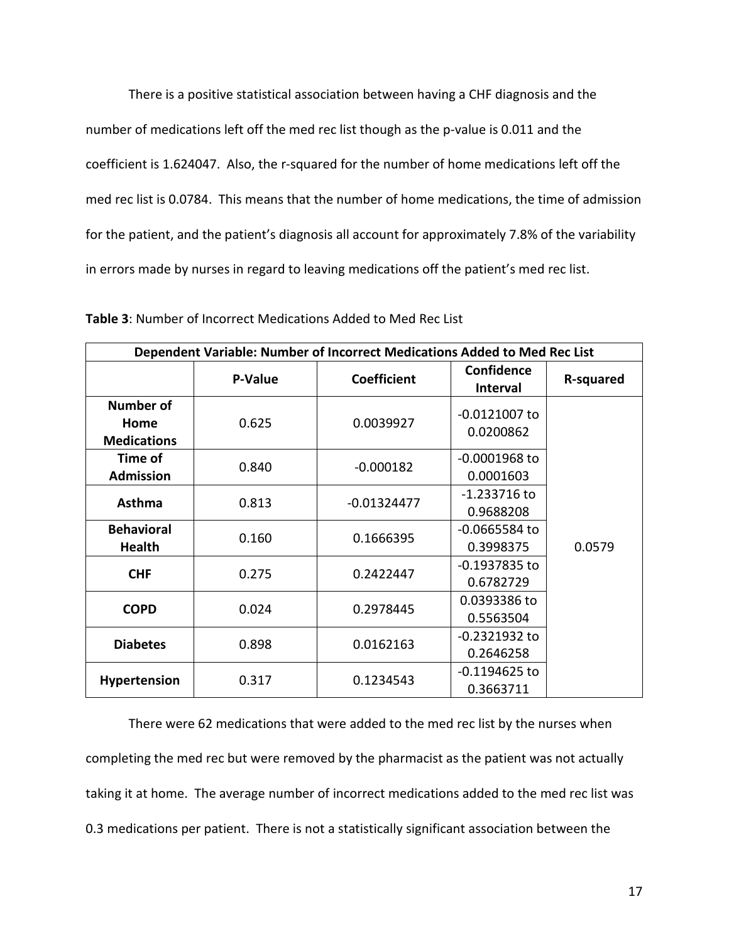There is a positive statistical association between having a CHF diagnosis and the number of medications left off the med rec list though as the p-value is 0.011 and the coefficient is 1.624047. Also, the r-squared for the number of home medications left off the med rec list is 0.0784. This means that the number of home medications, the time of admission for the patient, and the patient's diagnosis all account for approximately 7.8% of the variability in errors made by nurses in regard to leaving medications off the patient's med rec list.

| Dependent Variable: Number of Incorrect Medications Added to Med Rec List |         |                    |                               |           |
|---------------------------------------------------------------------------|---------|--------------------|-------------------------------|-----------|
|                                                                           | P-Value | <b>Coefficient</b> | Confidence<br><b>Interval</b> | R-squared |
| <b>Number of</b><br>Home<br><b>Medications</b>                            | 0.625   | 0.0039927          | $-0.0121007$ to<br>0.0200862  |           |
| Time of<br><b>Admission</b>                                               | 0.840   | $-0.000182$        | $-0.0001968$ to<br>0.0001603  |           |
| <b>Asthma</b>                                                             | 0.813   | $-0.01324477$      | $-1.233716$ to<br>0.9688208   |           |
| <b>Behavioral</b><br><b>Health</b>                                        | 0.160   | 0.1666395          | $-0.0665584$ to<br>0.3998375  | 0.0579    |
| <b>CHF</b>                                                                | 0.275   | 0.2422447          | $-0.1937835$ to<br>0.6782729  |           |
| <b>COPD</b>                                                               | 0.024   | 0.2978445          | 0.0393386 to<br>0.5563504     |           |
| <b>Diabetes</b>                                                           | 0.898   | 0.0162163          | $-0.2321932$ to<br>0.2646258  |           |
| <b>Hypertension</b>                                                       | 0.317   | 0.1234543          | $-0.1194625$ to<br>0.3663711  |           |

**Table 3**: Number of Incorrect Medications Added to Med Rec List

There were 62 medications that were added to the med rec list by the nurses when completing the med rec but were removed by the pharmacist as the patient was not actually taking it at home. The average number of incorrect medications added to the med rec list was 0.3 medications per patient. There is not a statistically significant association between the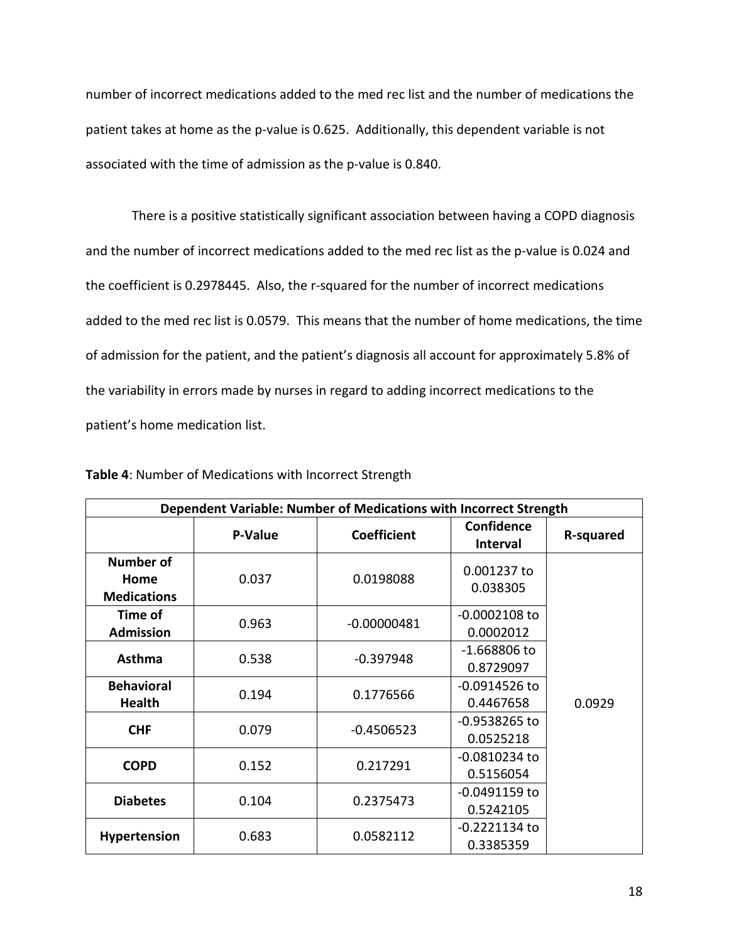number of incorrect medications added to the med rec list and the number of medications the patient takes at home as the p-value is 0.625. Additionally, this dependent variable is not associated with the time of admission as the p-value is 0.840.

There is a positive statistically significant association between having a COPD diagnosis and the number of incorrect medications added to the med rec list as the p-value is 0.024 and the coefficient is 0.2978445. Also, the r-squared for the number of incorrect medications added to the med rec list is 0.0579. This means that the number of home medications, the time of admission for the patient, and the patient's diagnosis all account for approximately 5.8% of the variability in errors made by nurses in regard to adding incorrect medications to the patient's home medication list.

| Dependent Variable: Number of Medications with Incorrect Strength |         |                    |                               |           |
|-------------------------------------------------------------------|---------|--------------------|-------------------------------|-----------|
|                                                                   | P-Value | <b>Coefficient</b> | Confidence<br><b>Interval</b> | R-squared |
| <b>Number of</b><br>Home<br><b>Medications</b>                    | 0.037   | 0.0198088          | 0.001237 to<br>0.038305       |           |
| Time of<br><b>Admission</b>                                       | 0.963   | $-0.00000481$      | $-0.0002108$ to<br>0.0002012  |           |
| <b>Asthma</b>                                                     | 0.538   | $-0.397948$        | $-1.668806$ to<br>0.8729097   |           |
| <b>Behavioral</b><br><b>Health</b>                                | 0.194   | 0.1776566          | $-0.0914526$ to<br>0.4467658  | 0.0929    |
| <b>CHF</b>                                                        | 0.079   | $-0.4506523$       | $-0.9538265$ to<br>0.0525218  |           |
| <b>COPD</b>                                                       | 0.152   | 0.217291           | $-0.0810234$ to<br>0.5156054  |           |
| <b>Diabetes</b>                                                   | 0.104   | 0.2375473          | $-0.0491159$ to<br>0.5242105  |           |
| Hypertension                                                      | 0.683   | 0.0582112          | $-0.2221134$ to<br>0.3385359  |           |

**Table 4**: Number of Medications with Incorrect Strength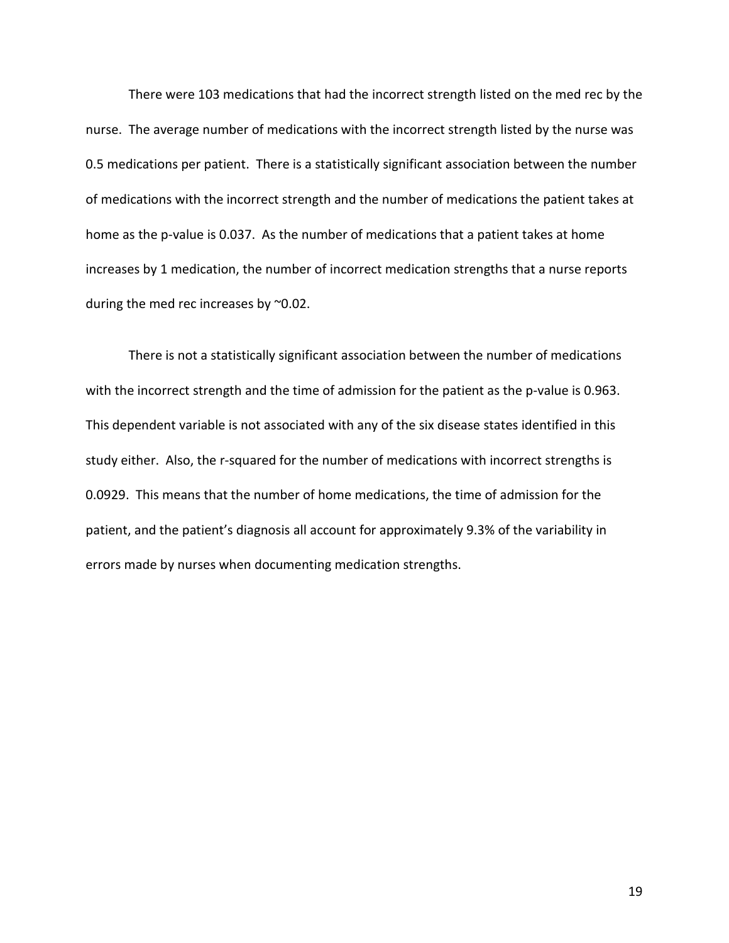There were 103 medications that had the incorrect strength listed on the med rec by the nurse. The average number of medications with the incorrect strength listed by the nurse was 0.5 medications per patient. There is a statistically significant association between the number of medications with the incorrect strength and the number of medications the patient takes at home as the p-value is 0.037. As the number of medications that a patient takes at home increases by 1 medication, the number of incorrect medication strengths that a nurse reports during the med rec increases by ~0.02.

There is not a statistically significant association between the number of medications with the incorrect strength and the time of admission for the patient as the p-value is 0.963. This dependent variable is not associated with any of the six disease states identified in this study either. Also, the r-squared for the number of medications with incorrect strengths is 0.0929. This means that the number of home medications, the time of admission for the patient, and the patient's diagnosis all account for approximately 9.3% of the variability in errors made by nurses when documenting medication strengths.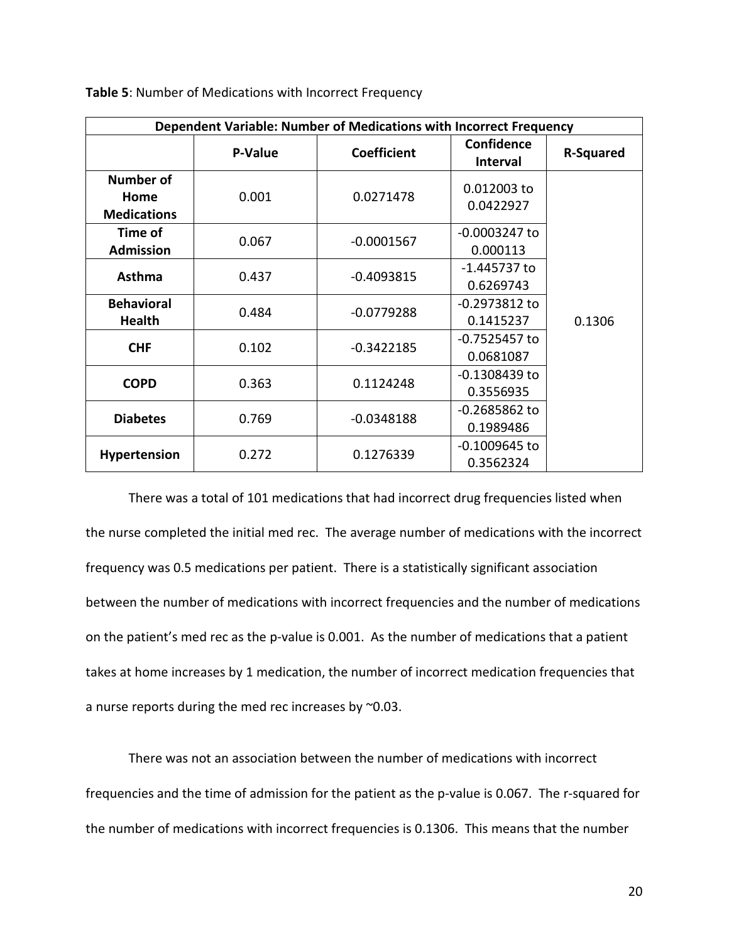| Dependent Variable: Number of Medications with Incorrect Frequency |         |                    |                                      |                  |
|--------------------------------------------------------------------|---------|--------------------|--------------------------------------|------------------|
|                                                                    | P-Value | <b>Coefficient</b> | <b>Confidence</b><br><b>Interval</b> | <b>R-Squared</b> |
| Number of<br>Home<br><b>Medications</b>                            | 0.001   | 0.0271478          | 0.012003 to<br>0.0422927             |                  |
| Time of<br><b>Admission</b>                                        | 0.067   | $-0.0001567$       | $-0.0003247$ to<br>0.000113          |                  |
| <b>Asthma</b>                                                      | 0.437   | $-0.4093815$       | -1.445737 to<br>0.6269743            |                  |
| <b>Behavioral</b><br><b>Health</b>                                 | 0.484   | $-0.0779288$       | $-0.2973812$ to<br>0.1415237         | 0.1306           |
| <b>CHF</b>                                                         | 0.102   | $-0.3422185$       | $-0.7525457$ to<br>0.0681087         |                  |
| <b>COPD</b>                                                        | 0.363   | 0.1124248          | $-0.1308439$ to<br>0.3556935         |                  |
| <b>Diabetes</b>                                                    | 0.769   | $-0.0348188$       | $-0.2685862$ to<br>0.1989486         |                  |
| Hypertension                                                       | 0.272   | 0.1276339          | $-0.1009645$ to<br>0.3562324         |                  |

**Table 5**: Number of Medications with Incorrect Frequency

There was a total of 101 medications that had incorrect drug frequencies listed when the nurse completed the initial med rec. The average number of medications with the incorrect frequency was 0.5 medications per patient. There is a statistically significant association between the number of medications with incorrect frequencies and the number of medications on the patient's med rec as the p-value is 0.001. As the number of medications that a patient takes at home increases by 1 medication, the number of incorrect medication frequencies that a nurse reports during the med rec increases by ~0.03.

There was not an association between the number of medications with incorrect frequencies and the time of admission for the patient as the p-value is 0.067. The r-squared for the number of medications with incorrect frequencies is 0.1306. This means that the number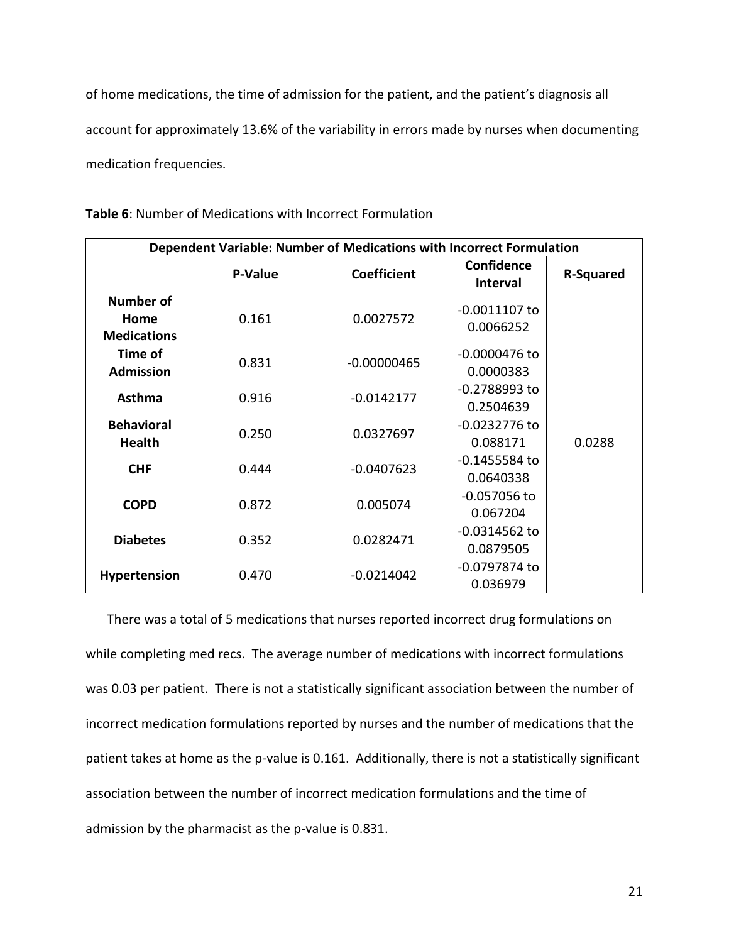of home medications, the time of admission for the patient, and the patient's diagnosis all account for approximately 13.6% of the variability in errors made by nurses when documenting medication frequencies.

| Dependent Variable: Number of Medications with Incorrect Formulation |         |                    |                                      |                  |
|----------------------------------------------------------------------|---------|--------------------|--------------------------------------|------------------|
|                                                                      | P-Value | <b>Coefficient</b> | <b>Confidence</b><br><b>Interval</b> | <b>R-Squared</b> |
| <b>Number of</b><br>Home<br><b>Medications</b>                       | 0.161   | 0.0027572          | $-0.0011107$ to<br>0.0066252         |                  |
| Time of<br><b>Admission</b>                                          | 0.831   | $-0.00000465$      | -0.0000476 to<br>0.0000383           |                  |
| <b>Asthma</b>                                                        | 0.916   | $-0.0142177$       | $-0.2788993$ to<br>0.2504639         |                  |
| <b>Behavioral</b><br>Health                                          | 0.250   | 0.0327697          | $-0.0232776$ to<br>0.088171          | 0.0288           |
| <b>CHF</b>                                                           | 0.444   | $-0.0407623$       | $-0.1455584$ to<br>0.0640338         |                  |
| <b>COPD</b>                                                          | 0.872   | 0.005074           | $-0.057056$ to<br>0.067204           |                  |
| <b>Diabetes</b>                                                      | 0.352   | 0.0282471          | $-0.0314562$ to<br>0.0879505         |                  |
| <b>Hypertension</b>                                                  | 0.470   | $-0.0214042$       | -0.0797874 to<br>0.036979            |                  |

**Table 6**: Number of Medications with Incorrect Formulation

There was a total of 5 medications that nurses reported incorrect drug formulations on while completing med recs. The average number of medications with incorrect formulations was 0.03 per patient. There is not a statistically significant association between the number of incorrect medication formulations reported by nurses and the number of medications that the patient takes at home as the p-value is 0.161. Additionally, there is not a statistically significant association between the number of incorrect medication formulations and the time of admission by the pharmacist as the p-value is 0.831.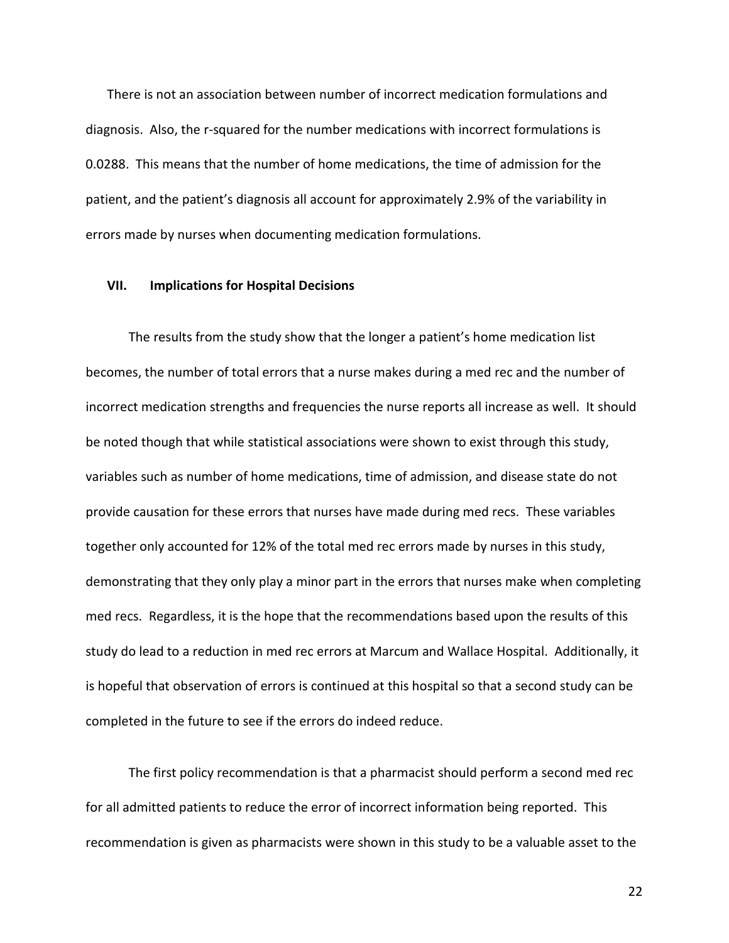There is not an association between number of incorrect medication formulations and diagnosis. Also, the r-squared for the number medications with incorrect formulations is 0.0288. This means that the number of home medications, the time of admission for the patient, and the patient's diagnosis all account for approximately 2.9% of the variability in errors made by nurses when documenting medication formulations.

#### **VII. Implications for Hospital Decisions**

The results from the study show that the longer a patient's home medication list becomes, the number of total errors that a nurse makes during a med rec and the number of incorrect medication strengths and frequencies the nurse reports all increase as well. It should be noted though that while statistical associations were shown to exist through this study, variables such as number of home medications, time of admission, and disease state do not provide causation for these errors that nurses have made during med recs. These variables together only accounted for 12% of the total med rec errors made by nurses in this study, demonstrating that they only play a minor part in the errors that nurses make when completing med recs. Regardless, it is the hope that the recommendations based upon the results of this study do lead to a reduction in med rec errors at Marcum and Wallace Hospital. Additionally, it is hopeful that observation of errors is continued at this hospital so that a second study can be completed in the future to see if the errors do indeed reduce.

The first policy recommendation is that a pharmacist should perform a second med rec for all admitted patients to reduce the error of incorrect information being reported. This recommendation is given as pharmacists were shown in this study to be a valuable asset to the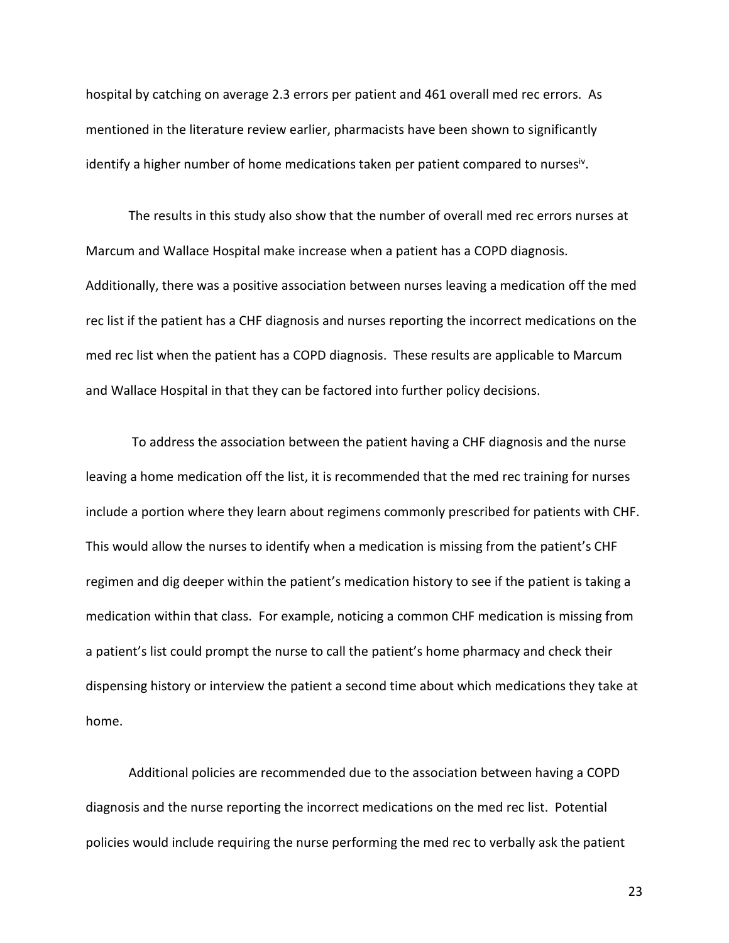hospital by catching on average 2.3 errors per patient and 461 overall med rec errors. As mentioned in the literature review earlier, pharmacists have been shown to significantly identify a higher number of home medications taken per patient compared to nurses<sup>iv</sup>.

The results in this study also show that the number of overall med rec errors nurses at Marcum and Wallace Hospital make increase when a patient has a COPD diagnosis. Additionally, there was a positive association between nurses leaving a medication off the med rec list if the patient has a CHF diagnosis and nurses reporting the incorrect medications on the med rec list when the patient has a COPD diagnosis. These results are applicable to Marcum and Wallace Hospital in that they can be factored into further policy decisions.

To address the association between the patient having a CHF diagnosis and the nurse leaving a home medication off the list, it is recommended that the med rec training for nurses include a portion where they learn about regimens commonly prescribed for patients with CHF. This would allow the nurses to identify when a medication is missing from the patient's CHF regimen and dig deeper within the patient's medication history to see if the patient is taking a medication within that class. For example, noticing a common CHF medication is missing from a patient's list could prompt the nurse to call the patient's home pharmacy and check their dispensing history or interview the patient a second time about which medications they take at home.

Additional policies are recommended due to the association between having a COPD diagnosis and the nurse reporting the incorrect medications on the med rec list. Potential policies would include requiring the nurse performing the med rec to verbally ask the patient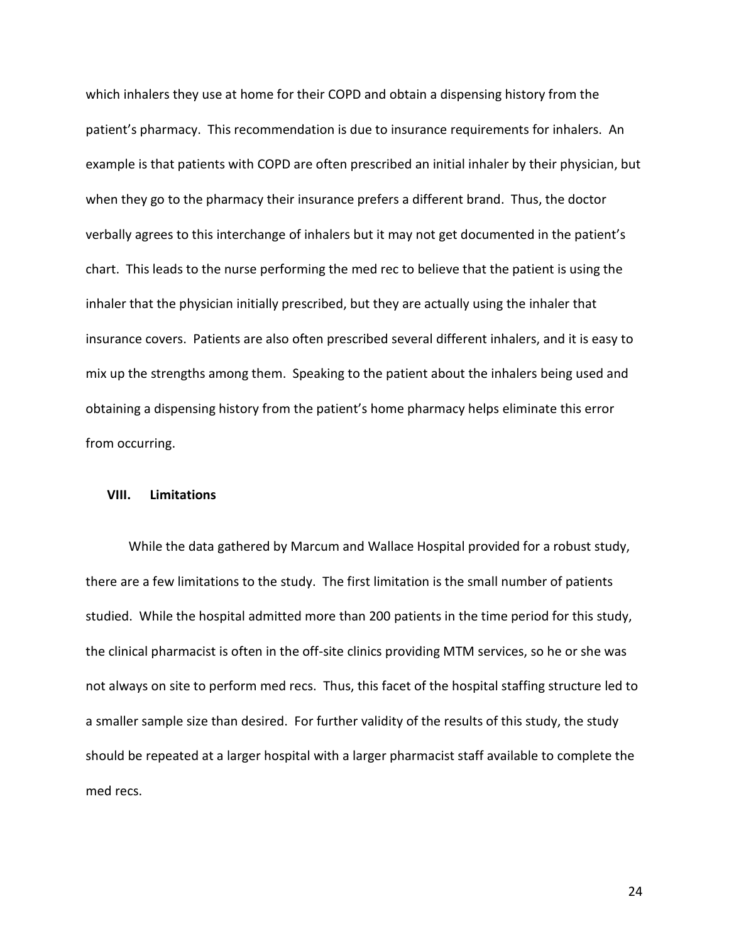which inhalers they use at home for their COPD and obtain a dispensing history from the patient's pharmacy. This recommendation is due to insurance requirements for inhalers. An example is that patients with COPD are often prescribed an initial inhaler by their physician, but when they go to the pharmacy their insurance prefers a different brand. Thus, the doctor verbally agrees to this interchange of inhalers but it may not get documented in the patient's chart. This leads to the nurse performing the med rec to believe that the patient is using the inhaler that the physician initially prescribed, but they are actually using the inhaler that insurance covers. Patients are also often prescribed several different inhalers, and it is easy to mix up the strengths among them. Speaking to the patient about the inhalers being used and obtaining a dispensing history from the patient's home pharmacy helps eliminate this error from occurring.

#### **VIII. Limitations**

While the data gathered by Marcum and Wallace Hospital provided for a robust study, there are a few limitations to the study. The first limitation is the small number of patients studied. While the hospital admitted more than 200 patients in the time period for this study, the clinical pharmacist is often in the off-site clinics providing MTM services, so he or she was not always on site to perform med recs. Thus, this facet of the hospital staffing structure led to a smaller sample size than desired. For further validity of the results of this study, the study should be repeated at a larger hospital with a larger pharmacist staff available to complete the med recs.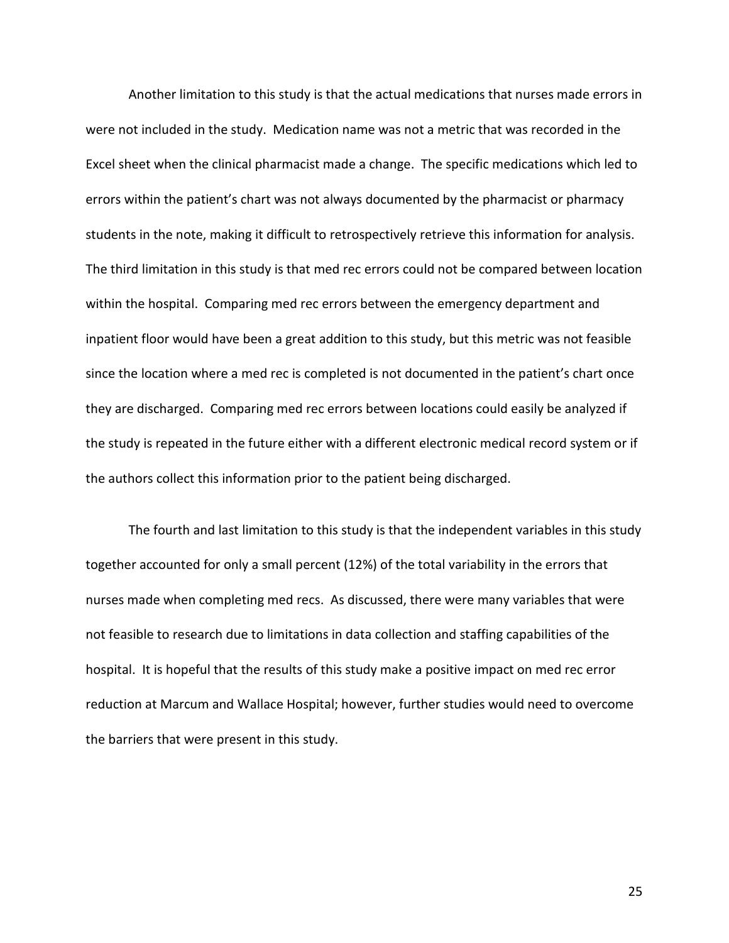Another limitation to this study is that the actual medications that nurses made errors in were not included in the study. Medication name was not a metric that was recorded in the Excel sheet when the clinical pharmacist made a change. The specific medications which led to errors within the patient's chart was not always documented by the pharmacist or pharmacy students in the note, making it difficult to retrospectively retrieve this information for analysis. The third limitation in this study is that med rec errors could not be compared between location within the hospital. Comparing med rec errors between the emergency department and inpatient floor would have been a great addition to this study, but this metric was not feasible since the location where a med rec is completed is not documented in the patient's chart once they are discharged. Comparing med rec errors between locations could easily be analyzed if the study is repeated in the future either with a different electronic medical record system or if the authors collect this information prior to the patient being discharged.

The fourth and last limitation to this study is that the independent variables in this study together accounted for only a small percent (12%) of the total variability in the errors that nurses made when completing med recs. As discussed, there were many variables that were not feasible to research due to limitations in data collection and staffing capabilities of the hospital. It is hopeful that the results of this study make a positive impact on med rec error reduction at Marcum and Wallace Hospital; however, further studies would need to overcome the barriers that were present in this study.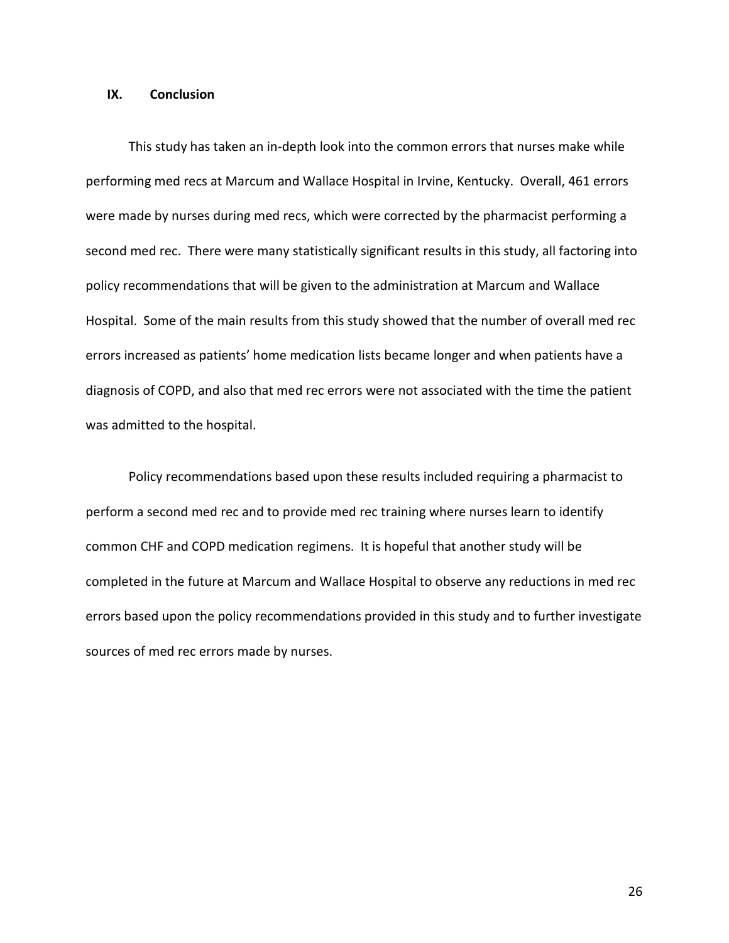#### **IX. Conclusion**

This study has taken an in-depth look into the common errors that nurses make while performing med recs at Marcum and Wallace Hospital in Irvine, Kentucky. Overall, 461 errors were made by nurses during med recs, which were corrected by the pharmacist performing a second med rec. There were many statistically significant results in this study, all factoring into policy recommendations that will be given to the administration at Marcum and Wallace Hospital. Some of the main results from this study showed that the number of overall med rec errors increased as patients' home medication lists became longer and when patients have a diagnosis of COPD, and also that med rec errors were not associated with the time the patient was admitted to the hospital.

Policy recommendations based upon these results included requiring a pharmacist to perform a second med rec and to provide med rec training where nurses learn to identify common CHF and COPD medication regimens. It is hopeful that another study will be completed in the future at Marcum and Wallace Hospital to observe any reductions in med rec errors based upon the policy recommendations provided in this study and to further investigate sources of med rec errors made by nurses.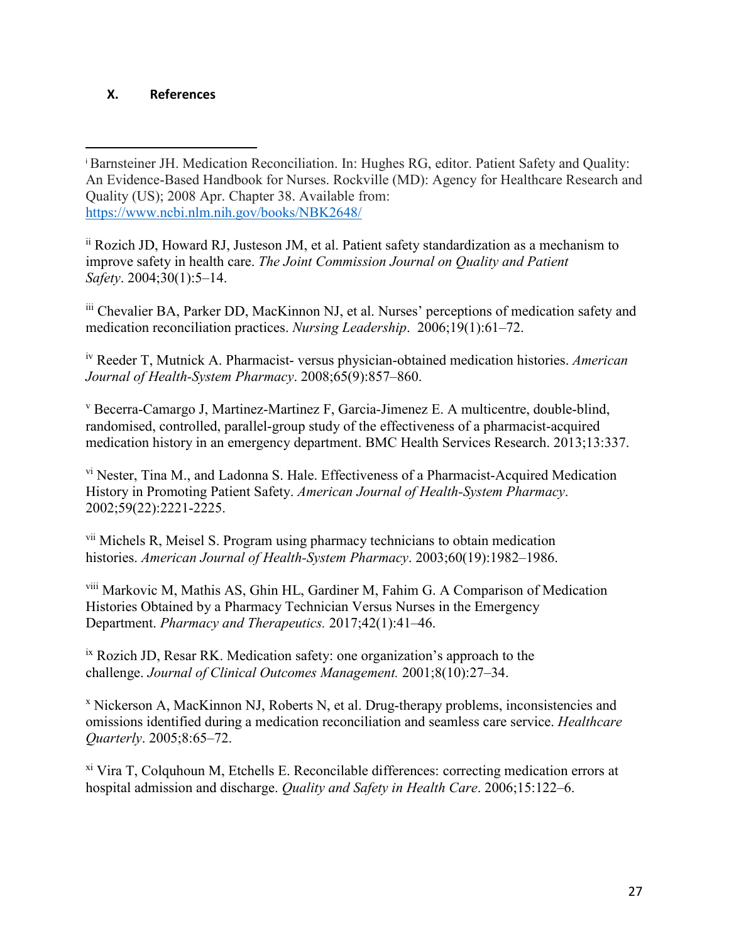## **X. References**

 $\overline{a}$ 

ii Rozich JD, Howard RJ, Justeson JM, et al. Patient safety standardization as a mechanism to improve safety in health care. *The Joint Commission Journal on Quality and Patient Safety*. 2004;30(1):5–14.

iii Chevalier BA, Parker DD, MacKinnon NJ, et al. Nurses' perceptions of medication safety and medication reconciliation practices. *Nursing Leadership*. 2006;19(1):61–72.

iv Reeder T, Mutnick A. Pharmacist- versus physician-obtained medication histories. *American Journal of Health-System Pharmacy*. 2008;65(9):857–860.

<sup>v</sup> Becerra-Camargo J, Martinez-Martinez F, Garcia-Jimenez E. A multicentre, double-blind, randomised, controlled, parallel-group study of the effectiveness of a pharmacist-acquired medication history in an emergency department. BMC Health Services Research. 2013;13:337.

vi Nester, Tina M., and Ladonna S. Hale. Effectiveness of a Pharmacist-Acquired Medication History in Promoting Patient Safety. *American Journal of Health-System Pharmacy*. 2002;59(22):2221-2225.

vii Michels R, Meisel S. Program using pharmacy technicians to obtain medication histories. *American Journal of Health-System Pharmacy*. 2003;60(19):1982–1986.

viii Markovic M, Mathis AS, Ghin HL, Gardiner M, Fahim G. A Comparison of Medication Histories Obtained by a Pharmacy Technician Versus Nurses in the Emergency Department. *Pharmacy and Therapeutics.* 2017;42(1):41–46.

ix Rozich JD, Resar RK. Medication safety: one organization's approach to the challenge. *Journal of Clinical Outcomes Management.* 2001;8(10):27–34.

<sup>x</sup> Nickerson A, MacKinnon NJ, Roberts N, et al. Drug-therapy problems, inconsistencies and omissions identified during a medication reconciliation and seamless care service. *Healthcare Quarterly*. 2005;8:65–72.

 $\frac{x_i}{x_i}$  Vira T, Colquhoun M, Etchells E. Reconcilable differences: correcting medication errors at hospital admission and discharge. *Quality and Safety in Health Care*. 2006;15:122–6.

<sup>i</sup> Barnsteiner JH. Medication Reconciliation. In: Hughes RG, editor. Patient Safety and Quality: An Evidence-Based Handbook for Nurses. Rockville (MD): Agency for Healthcare Research and Quality (US); 2008 Apr. Chapter 38. Available from: <https://www.ncbi.nlm.nih.gov/books/NBK2648/>